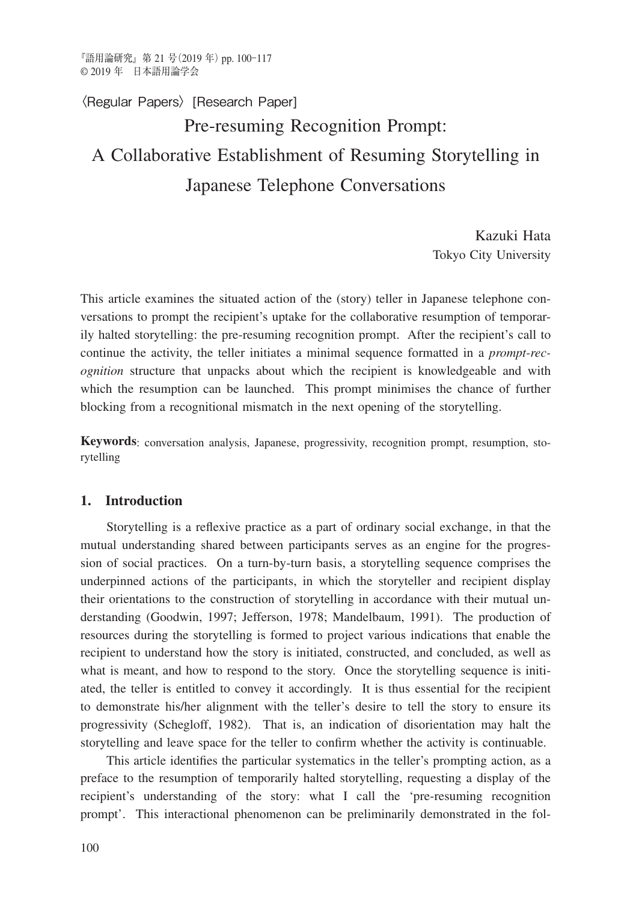# Pre-resuming Recognition Prompt: A Collaborative Establishment of Resuming Storytelling in Japanese Telephone Conversations 〈Regular Papers〉[Research Paper]

Kazuki Hata Tokyo City University

This article examines the situated action of the (story) teller in Japanese telephone conversations to prompt the recipient's uptake for the collaborative resumption of temporarily halted storytelling: the pre-resuming recognition prompt. After the recipient's call to continue the activity, the teller initiates a minimal sequence formatted in a *prompt-recognition* structure that unpacks about which the recipient is knowledgeable and with which the resumption can be launched. This prompt minimises the chance of further blocking from a recognitional mismatch in the next opening of the storytelling.

**Keywords**: conversation analysis, Japanese, progressivity, recognition prompt, resumption, storytelling

# **1. Introduction**

Storytelling is a reflexive practice as a part of ordinary social exchange, in that the mutual understanding shared between participants serves as an engine for the progression of social practices. On a turn-by-turn basis, a storytelling sequence comprises the underpinned actions of the participants, in which the storyteller and recipient display their orientations to the construction of storytelling in accordance with their mutual understanding (Goodwin, 1997; Jefferson, 1978; Mandelbaum, 1991). The production of resources during the storytelling is formed to project various indications that enable the recipient to understand how the story is initiated, constructed, and concluded, as well as what is meant, and how to respond to the story. Once the storytelling sequence is initiated, the teller is entitled to convey it accordingly. It is thus essential for the recipient to demonstrate his/her alignment with the teller's desire to tell the story to ensure its progressivity (Schegloff, 1982). That is, an indication of disorientation may halt the storytelling and leave space for the teller to confirm whether the activity is continuable.

This article identifies the particular systematics in the teller's prompting action, as a preface to the resumption of temporarily halted storytelling, requesting a display of the recipient's understanding of the story: what I call the 'pre-resuming recognition prompt'. This interactional phenomenon can be preliminarily demonstrated in the fol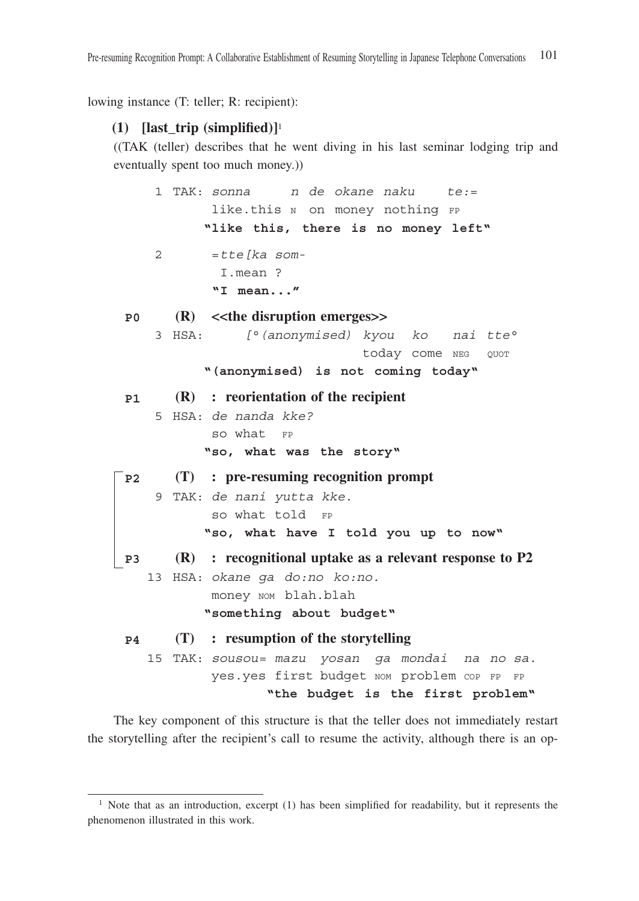lowing instance (T: teller; R: recipient):

## **(1) [last\_trip (simplified)]**<sup>1</sup>

((TAK (teller) describes that he went diving in his last seminar lodging trip and eventually spent too much money.))

 1 TAK: *sonna n de okane naku te:*= like.this N on money nothing FP  **"like this, there is no money left"** 2 =*tte[ka som-* I.mean ? **"I mean..." P0 (R) <<the disruption emerges>>** 3 HSA: *[°(anonymised) kyou ko nai tte°* today come NEG QUOT  **"(anonymised) is not coming today" P1 (R) : reorientation of the recipient** 5 HSA: *de nanda kke?* so what FP  **"so, what was the story" P2 (T) : pre-resuming recognition prompt** 9 TAK: *de nani yutta kke.* so what told FP  **"so, what have I told you up to now" P3 (R) : recognitional uptake as a relevant response to P2** 13 HSA: *okane ga do:no ko:no.* money nom blah.blah  **"something about budget" P4 (T) : resumption of the storytelling** 15 TAK: *sousou= mazu yosan ga mondai na no sa.* yes.yes first budget NOM problem COP FP FP  **"the budget is the first problem"**

The key component of this structure is that the teller does not immediately restart the storytelling after the recipient's call to resume the activity, although there is an op-

<sup>&</sup>lt;sup>1</sup> Note that as an introduction, excerpt  $(1)$  has been simplified for readability, but it represents the phenomenon illustrated in this work.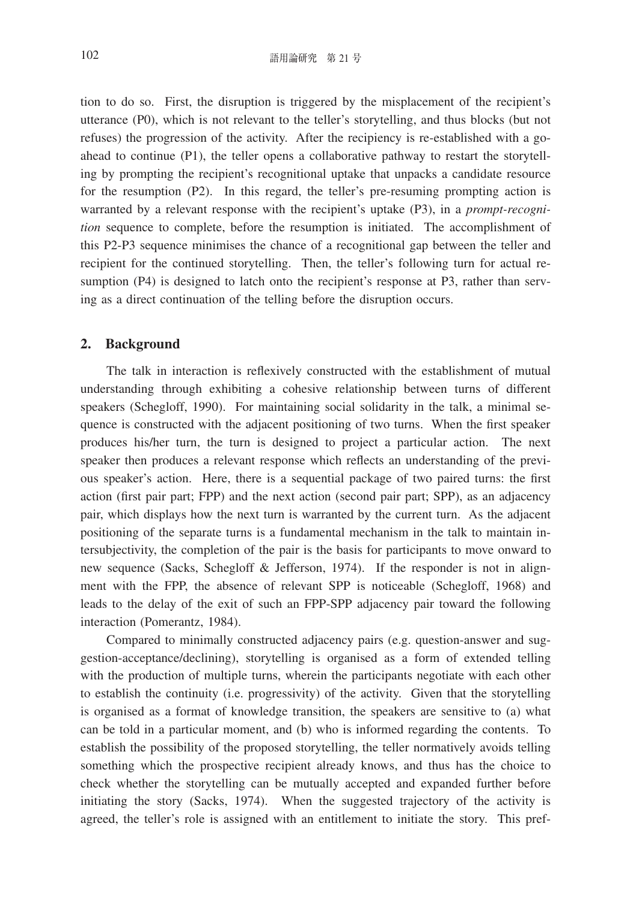tion to do so. First, the disruption is triggered by the misplacement of the recipient's utterance (P0), which is not relevant to the teller's storytelling, and thus blocks (but not refuses) the progression of the activity. After the recipiency is re-established with a goahead to continue (P1), the teller opens a collaborative pathway to restart the storytelling by prompting the recipient's recognitional uptake that unpacks a candidate resource for the resumption (P2). In this regard, the teller's pre-resuming prompting action is warranted by a relevant response with the recipient's uptake (P3), in a *prompt-recognition* sequence to complete, before the resumption is initiated. The accomplishment of this P2-P3 sequence minimises the chance of a recognitional gap between the teller and recipient for the continued storytelling. Then, the teller's following turn for actual resumption (P4) is designed to latch onto the recipient's response at P3, rather than serving as a direct continuation of the telling before the disruption occurs.

### **2. Background**

The talk in interaction is reflexively constructed with the establishment of mutual understanding through exhibiting a cohesive relationship between turns of different speakers (Schegloff, 1990). For maintaining social solidarity in the talk, a minimal sequence is constructed with the adjacent positioning of two turns. When the first speaker produces his/her turn, the turn is designed to project a particular action. The next speaker then produces a relevant response which reflects an understanding of the previous speaker's action. Here, there is a sequential package of two paired turns: the first action (first pair part; FPP) and the next action (second pair part; SPP), as an adjacency pair, which displays how the next turn is warranted by the current turn. As the adjacent positioning of the separate turns is a fundamental mechanism in the talk to maintain intersubjectivity, the completion of the pair is the basis for participants to move onward to new sequence (Sacks, Schegloff & Jefferson, 1974). If the responder is not in alignment with the FPP, the absence of relevant SPP is noticeable (Schegloff, 1968) and leads to the delay of the exit of such an FPP-SPP adjacency pair toward the following interaction (Pomerantz, 1984).

Compared to minimally constructed adjacency pairs (e.g. question-answer and suggestion-acceptance/declining), storytelling is organised as a form of extended telling with the production of multiple turns, wherein the participants negotiate with each other to establish the continuity (i.e. progressivity) of the activity. Given that the storytelling is organised as a format of knowledge transition, the speakers are sensitive to (a) what can be told in a particular moment, and (b) who is informed regarding the contents. To establish the possibility of the proposed storytelling, the teller normatively avoids telling something which the prospective recipient already knows, and thus has the choice to check whether the storytelling can be mutually accepted and expanded further before initiating the story (Sacks, 1974). When the suggested trajectory of the activity is agreed, the teller's role is assigned with an entitlement to initiate the story. This pref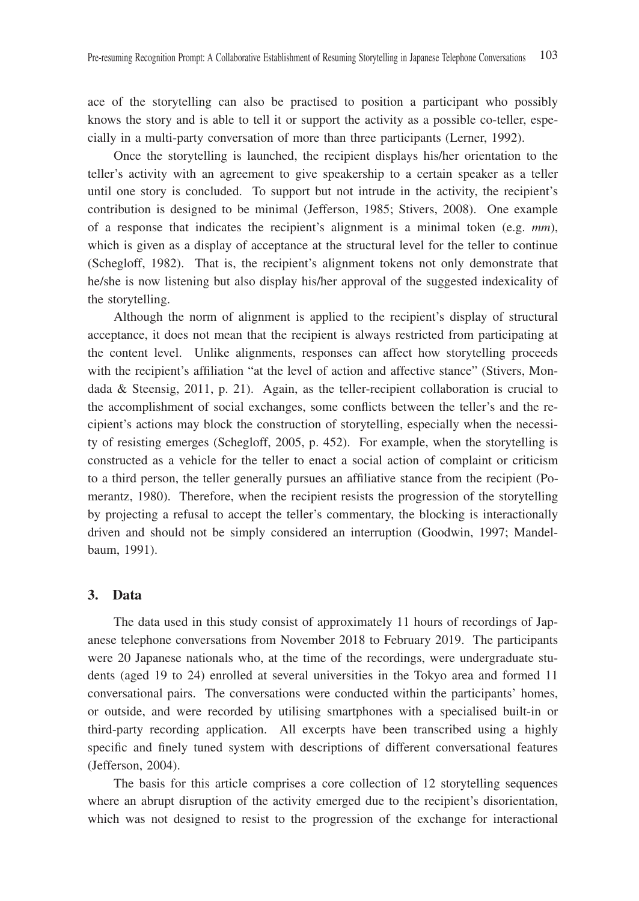ace of the storytelling can also be practised to position a participant who possibly knows the story and is able to tell it or support the activity as a possible co-teller, especially in a multi-party conversation of more than three participants (Lerner, 1992).

Once the storytelling is launched, the recipient displays his/her orientation to the teller's activity with an agreement to give speakership to a certain speaker as a teller until one story is concluded. To support but not intrude in the activity, the recipient's contribution is designed to be minimal (Jefferson, 1985; Stivers, 2008). One example of a response that indicates the recipient's alignment is a minimal token (e.g. *mm*), which is given as a display of acceptance at the structural level for the teller to continue (Schegloff, 1982). That is, the recipient's alignment tokens not only demonstrate that he/she is now listening but also display his/her approval of the suggested indexicality of the storytelling.

Although the norm of alignment is applied to the recipient's display of structural acceptance, it does not mean that the recipient is always restricted from participating at the content level. Unlike alignments, responses can affect how storytelling proceeds with the recipient's affiliation "at the level of action and affective stance" (Stivers, Mondada & Steensig, 2011, p. 21). Again, as the teller-recipient collaboration is crucial to the accomplishment of social exchanges, some conflicts between the teller's and the recipient's actions may block the construction of storytelling, especially when the necessity of resisting emerges (Schegloff, 2005, p. 452). For example, when the storytelling is constructed as a vehicle for the teller to enact a social action of complaint or criticism to a third person, the teller generally pursues an affiliative stance from the recipient (Pomerantz, 1980). Therefore, when the recipient resists the progression of the storytelling by projecting a refusal to accept the teller's commentary, the blocking is interactionally driven and should not be simply considered an interruption (Goodwin, 1997; Mandelbaum, 1991).

#### **3. Data**

The data used in this study consist of approximately 11 hours of recordings of Japanese telephone conversations from November 2018 to February 2019. The participants were 20 Japanese nationals who, at the time of the recordings, were undergraduate students (aged 19 to 24) enrolled at several universities in the Tokyo area and formed 11 conversational pairs. The conversations were conducted within the participants' homes, or outside, and were recorded by utilising smartphones with a specialised built-in or third-party recording application. All excerpts have been transcribed using a highly specific and finely tuned system with descriptions of different conversational features (Jefferson, 2004).

The basis for this article comprises a core collection of 12 storytelling sequences where an abrupt disruption of the activity emerged due to the recipient's disorientation, which was not designed to resist to the progression of the exchange for interactional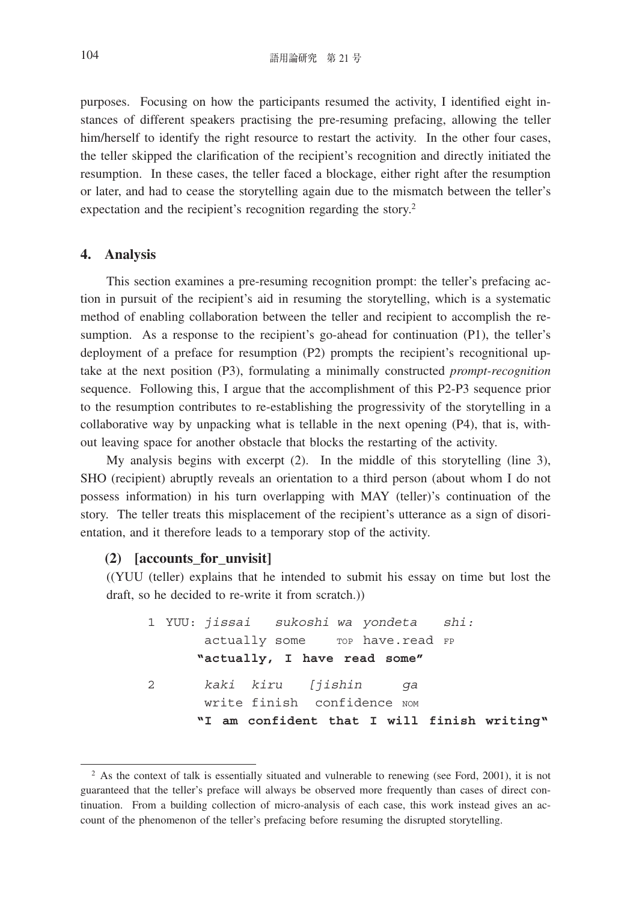purposes. Focusing on how the participants resumed the activity, I identified eight instances of different speakers practising the pre-resuming prefacing, allowing the teller him/herself to identify the right resource to restart the activity. In the other four cases, the teller skipped the clarification of the recipient's recognition and directly initiated the resumption. In these cases, the teller faced a blockage, either right after the resumption or later, and had to cease the storytelling again due to the mismatch between the teller's expectation and the recipient's recognition regarding the story.<sup>2</sup>

### **4. Analysis**

This section examines a pre-resuming recognition prompt: the teller's prefacing action in pursuit of the recipient's aid in resuming the storytelling, which is a systematic method of enabling collaboration between the teller and recipient to accomplish the resumption. As a response to the recipient's go-ahead for continuation (P1), the teller's deployment of a preface for resumption (P2) prompts the recipient's recognitional uptake at the next position (P3), formulating a minimally constructed *prompt-recognition* sequence. Following this, I argue that the accomplishment of this P2-P3 sequence prior to the resumption contributes to re-establishing the progressivity of the storytelling in a collaborative way by unpacking what is tellable in the next opening (P4), that is, without leaving space for another obstacle that blocks the restarting of the activity.

My analysis begins with excerpt (2). In the middle of this storytelling (line 3), SHO (recipient) abruptly reveals an orientation to a third person (about whom I do not possess information) in his turn overlapping with MAY (teller)'s continuation of the story. The teller treats this misplacement of the recipient's utterance as a sign of disorientation, and it therefore leads to a temporary stop of the activity.

## **(2) [accounts\_for\_unvisit]**

((YUU (teller) explains that he intended to submit his essay on time but lost the draft, so he decided to re-write it from scratch.))

 1 YUU: *jissai sukoshi wa yondeta shi:* actually some fop have.read FP **"actually, I have read some"** 2 *kaki kiru [jishin ga* write finish confidence nom **"I am confident that I will finish writing"**

<sup>&</sup>lt;sup>2</sup> As the context of talk is essentially situated and vulnerable to renewing (see Ford, 2001), it is not guaranteed that the teller's preface will always be observed more frequently than cases of direct continuation. From a building collection of micro-analysis of each case, this work instead gives an account of the phenomenon of the teller's prefacing before resuming the disrupted storytelling.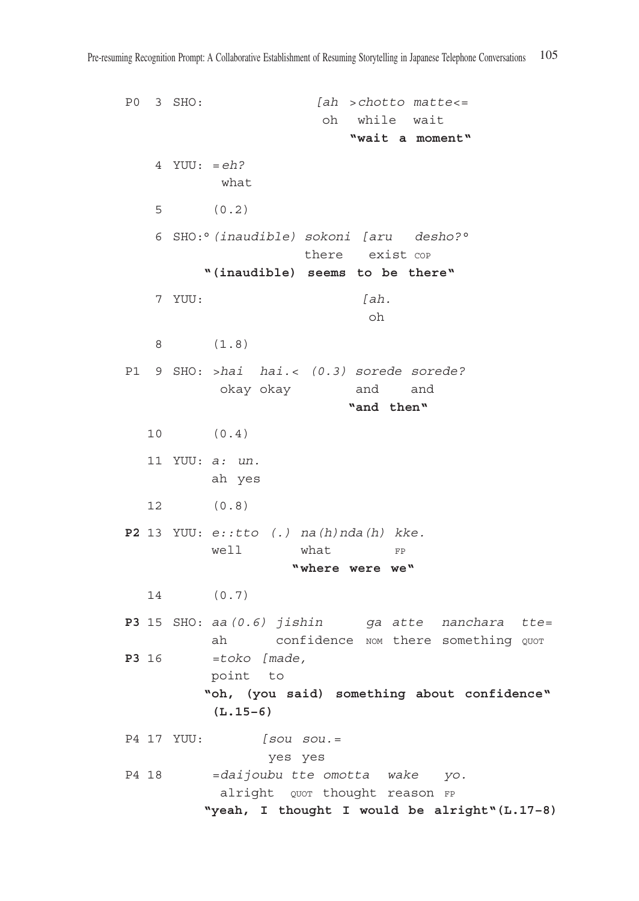P0 3 SHO: *[ah >chotto matte<=* oh while wait **"wait a moment"** 4 YUU: *= eh?* what 5 (0.2) 6 SHO:°*(inaudible) sokoni [aru desho?°* there exist cop **"(inaudible) seems to be there"** 7 YUU: *[ah.* oh 8 (1.8) P1 9 SHO: *>hai hai.< (0.3) sorede sorede?* okay okay and and **"and then"** 10 (0.4) 11 YUU: *a: un.* ah yes 12 (0.8) **P2** 13 YUU: *e::tto (.) na(h)nda(h) kke.* well what FP **"where were we"** 14 (0.7) **P3** 15 SHO: *aa(0.6) jishin ga atte nanchara tte=* ah confidence NOM there something QUOT **P3** 16 *=toko [made,*  point to **" oh, (you said) something about confidence" (L.15–6)** P4 17 YUU: *[sou sou.=* yes yes P4 18 *=daijoubu tte omotta wake yo.* alright quor thought reason FP **"yeah, I thought I would be alright"(L.17–8)**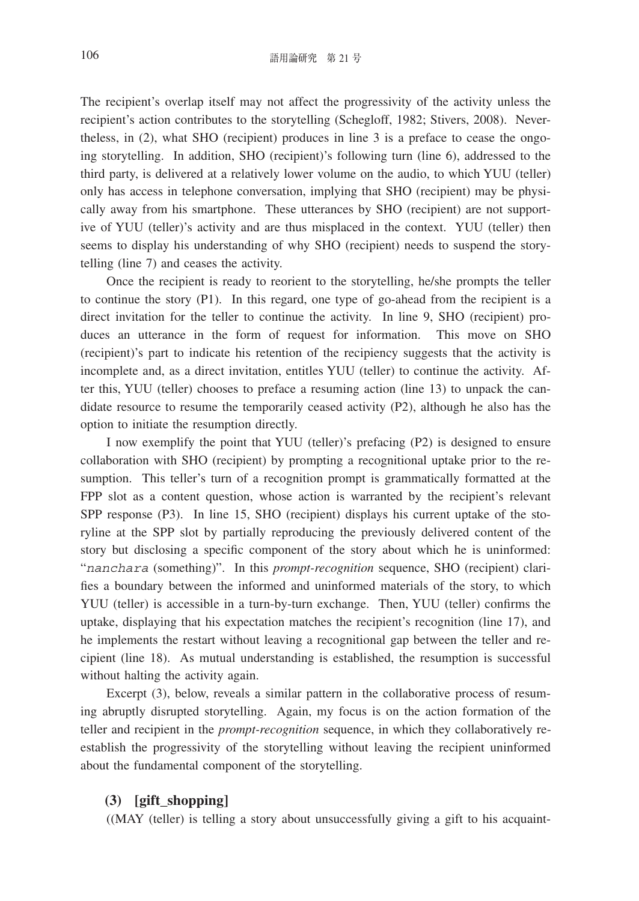The recipient's overlap itself may not affect the progressivity of the activity unless the recipient's action contributes to the storytelling (Schegloff, 1982; Stivers, 2008). Nevertheless, in (2), what SHO (recipient) produces in line 3 is a preface to cease the ongoing storytelling. In addition, SHO (recipient)'s following turn (line 6), addressed to the third party, is delivered at a relatively lower volume on the audio, to which YUU (teller) only has access in telephone conversation, implying that SHO (recipient) may be physically away from his smartphone. These utterances by SHO (recipient) are not supportive of YUU (teller)'s activity and are thus misplaced in the context. YUU (teller) then seems to display his understanding of why SHO (recipient) needs to suspend the storytelling (line 7) and ceases the activity.

Once the recipient is ready to reorient to the storytelling, he/she prompts the teller to continue the story (P1). In this regard, one type of go-ahead from the recipient is a direct invitation for the teller to continue the activity. In line 9, SHO (recipient) produces an utterance in the form of request for information. This move on SHO (recipient)'s part to indicate his retention of the recipiency suggests that the activity is incomplete and, as a direct invitation, entitles YUU (teller) to continue the activity. After this, YUU (teller) chooses to preface a resuming action (line 13) to unpack the candidate resource to resume the temporarily ceased activity (P2), although he also has the option to initiate the resumption directly.

I now exemplify the point that YUU (teller)'s prefacing (P2) is designed to ensure collaboration with SHO (recipient) by prompting a recognitional uptake prior to the resumption. This teller's turn of a recognition prompt is grammatically formatted at the FPP slot as a content question, whose action is warranted by the recipient's relevant SPP response (P3). In line 15, SHO (recipient) displays his current uptake of the storyline at the SPP slot by partially reproducing the previously delivered content of the story but disclosing a specific component of the story about which he is uninformed: "*nanchara* (something)". In this *prompt-recognition* sequence, SHO (recipient) clarifies a boundary between the informed and uninformed materials of the story, to which YUU (teller) is accessible in a turn-by-turn exchange. Then, YUU (teller) confirms the uptake, displaying that his expectation matches the recipient's recognition (line 17), and he implements the restart without leaving a recognitional gap between the teller and recipient (line 18). As mutual understanding is established, the resumption is successful without halting the activity again.

Excerpt (3), below, reveals a similar pattern in the collaborative process of resuming abruptly disrupted storytelling. Again, my focus is on the action formation of the teller and recipient in the *prompt-recognition* sequence, in which they collaboratively reestablish the progressivity of the storytelling without leaving the recipient uninformed about the fundamental component of the storytelling.

## **(3) [gift\_shopping]**

((MAY (teller) is telling a story about unsuccessfully giving a gift to his acquaint-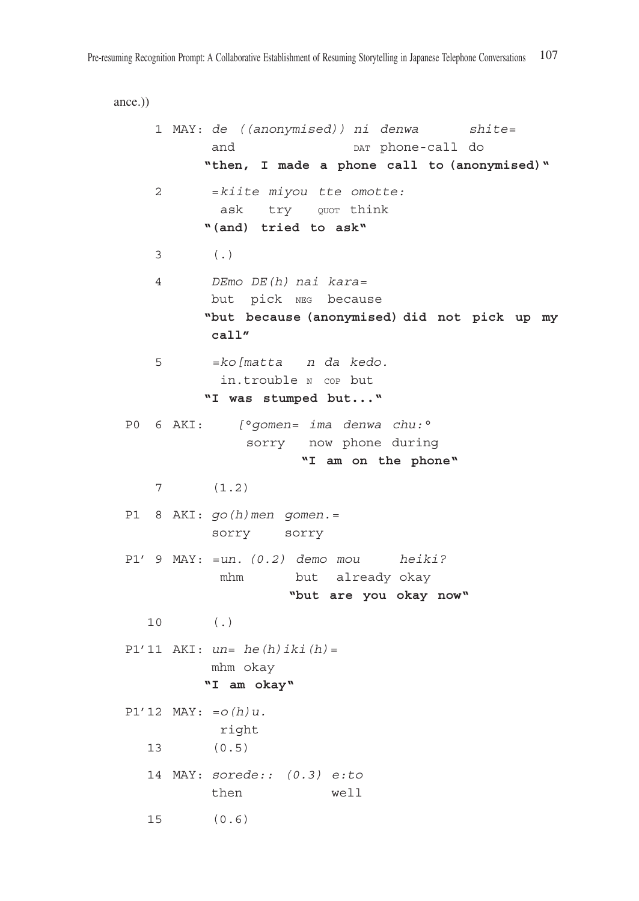```
ance.))
     1 MAY: de ((anonymised)) ni denwa shite=
          and _{\text{DATA}} phone-call do
           "then, I made a phone call to (anonymised)"
     2 =kiite miyou tte omotte:
           ask try QUOT think
          "(and) tried to ask"
     3 (.)
     4 DEmo DE(h) nai kara=
           but pick neg because
           " but because (anonymised) did not pick up my 
          call"
     5 =ko[matta n da kedo.
            in.trouble n cop but 
          "I was stumped but..."
P0 6 AKI: [°gomen= ima denwa chu:°
                sorry now phone during
                      "I am on the phone"
     7 (1.2)
P1 8 AKI: go(h)men gomen.= 
           sorry sorry
P1' 9 MAY: =un. (0.2) demo mou heiki?
            mhm but already okay
                     "but are you okay now"
    10 (.)
P1'11 AKI: un= he(h)iki(h)=
           mhm okay
          "I am okay"
P1'12 MAY: =o(h)u.
            right
    13 (0.5)
    14 MAY: sorede:: (0.3) e:to
           then well 
    15 (0.6)
```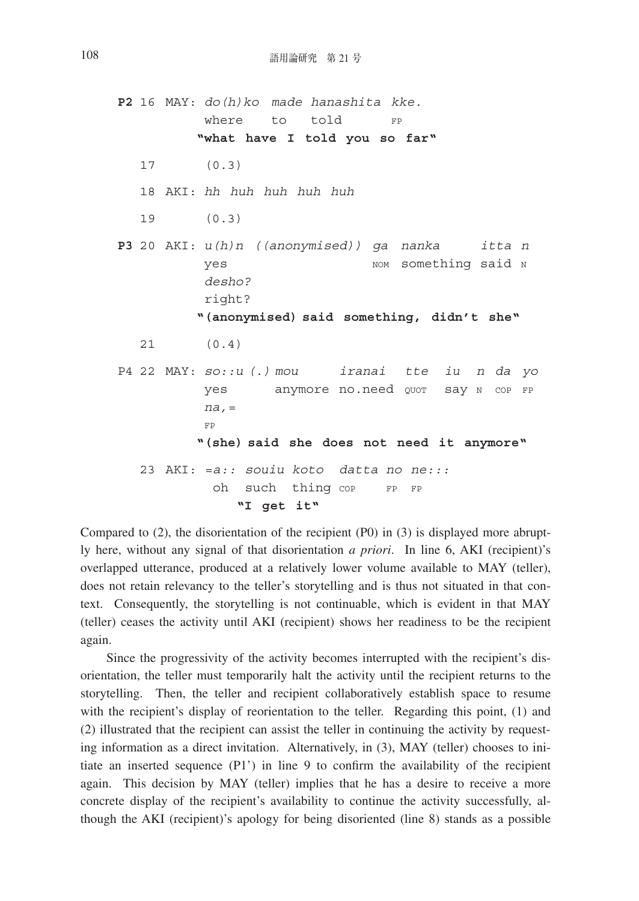**P2** 16 MAY: *do(h)ko made hanashita kke.* where to told FP **"what have I told you so far"** 17 (0.3) 18 AKI: *hh huh huh huh huh* 19 (0.3) **P3** 20 AKI: *u(h)n ((anonymised)) ga nanka itta n* yes wow something said N  *desho?* right? **"(anonymised) said something, didn't she"** 21 (0.4) P4 22 MAY: *so::u (.) mou iranai tte iu n da yo* yes anymore no.need Quor say N COP FP  *na,=* for the state of the state of the state of the state of the state of the state of the state of the state of the state of the state of the state of the state of the state of the state of the state of the state of the state **"(she) said she does not need it anymore"** 23 AKI: *=a:: souiu koto datta no ne:::* oh such thing cop FP FP **"I get it"**

Compared to (2), the disorientation of the recipient (P0) in (3) is displayed more abruptly here, without any signal of that disorientation *a priori*. In line 6, AKI (recipient)'s overlapped utterance, produced at a relatively lower volume available to MAY (teller), does not retain relevancy to the teller's storytelling and is thus not situated in that context. Consequently, the storytelling is not continuable, which is evident in that MAY (teller) ceases the activity until AKI (recipient) shows her readiness to be the recipient again.

Since the progressivity of the activity becomes interrupted with the recipient's disorientation, the teller must temporarily halt the activity until the recipient returns to the storytelling. Then, the teller and recipient collaboratively establish space to resume with the recipient's display of reorientation to the teller. Regarding this point, (1) and (2) illustrated that the recipient can assist the teller in continuing the activity by requesting information as a direct invitation. Alternatively, in (3), MAY (teller) chooses to initiate an inserted sequence (P1') in line 9 to confirm the availability of the recipient again. This decision by MAY (teller) implies that he has a desire to receive a more concrete display of the recipient's availability to continue the activity successfully, although the AKI (recipient)'s apology for being disoriented (line 8) stands as a possible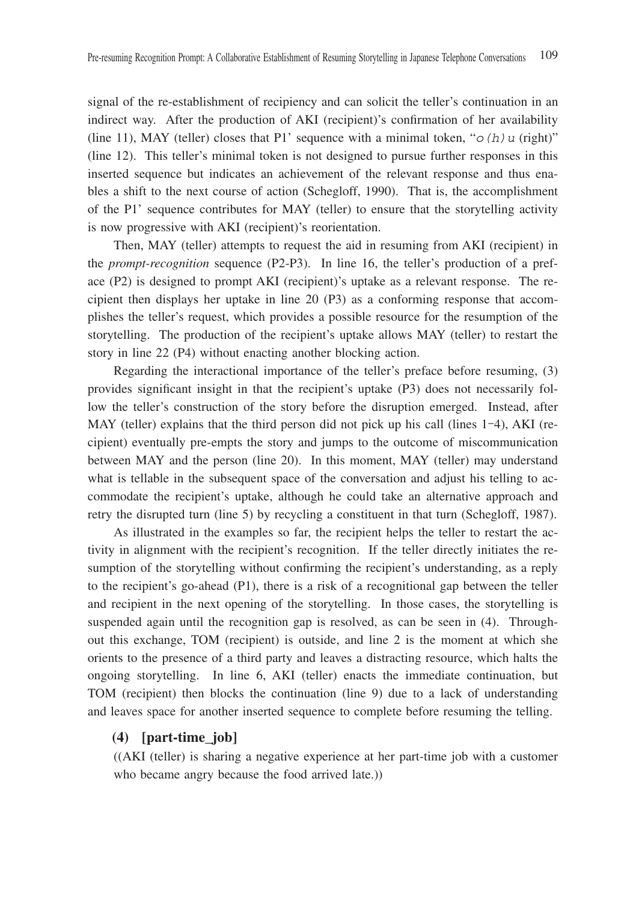signal of the re-establishment of recipiency and can solicit the teller's continuation in an indirect way. After the production of AKI (recipient)'s confirmation of her availability (line 11), MAY (teller) closes that P1' sequence with a minimal token, " $o(h)u$  (right)" (line 12). This teller's minimal token is not designed to pursue further responses in this inserted sequence but indicates an achievement of the relevant response and thus enables a shift to the next course of action (Schegloff, 1990). That is, the accomplishment of the P1' sequence contributes for MAY (teller) to ensure that the storytelling activity is now progressive with AKI (recipient)'s reorientation.

Then, MAY (teller) attempts to request the aid in resuming from AKI (recipient) in the *prompt-recognition* sequence (P2-P3). In line 16, the teller's production of a preface (P2) is designed to prompt AKI (recipient)'s uptake as a relevant response. The recipient then displays her uptake in line 20 (P3) as a conforming response that accomplishes the teller's request, which provides a possible resource for the resumption of the storytelling. The production of the recipient's uptake allows MAY (teller) to restart the story in line 22 (P4) without enacting another blocking action.

Regarding the interactional importance of the teller's preface before resuming, (3) provides significant insight in that the recipient's uptake (P3) does not necessarily follow the teller's construction of the story before the disruption emerged. Instead, after MAY (teller) explains that the third person did not pick up his call (lines  $1-4$ ), AKI (recipient) eventually pre-empts the story and jumps to the outcome of miscommunication between MAY and the person (line 20). In this moment, MAY (teller) may understand what is tellable in the subsequent space of the conversation and adjust his telling to accommodate the recipient's uptake, although he could take an alternative approach and retry the disrupted turn (line 5) by recycling a constituent in that turn (Schegloff, 1987).

As illustrated in the examples so far, the recipient helps the teller to restart the activity in alignment with the recipient's recognition. If the teller directly initiates the resumption of the storytelling without confirming the recipient's understanding, as a reply to the recipient's go-ahead (P1), there is a risk of a recognitional gap between the teller and recipient in the next opening of the storytelling. In those cases, the storytelling is suspended again until the recognition gap is resolved, as can be seen in (4). Throughout this exchange, TOM (recipient) is outside, and line 2 is the moment at which she orients to the presence of a third party and leaves a distracting resource, which halts the ongoing storytelling. In line 6, AKI (teller) enacts the immediate continuation, but TOM (recipient) then blocks the continuation (line 9) due to a lack of understanding and leaves space for another inserted sequence to complete before resuming the telling.

#### **(4) [part-time\_job]**

((AKI (teller) is sharing a negative experience at her part-time job with a customer who became angry because the food arrived late.))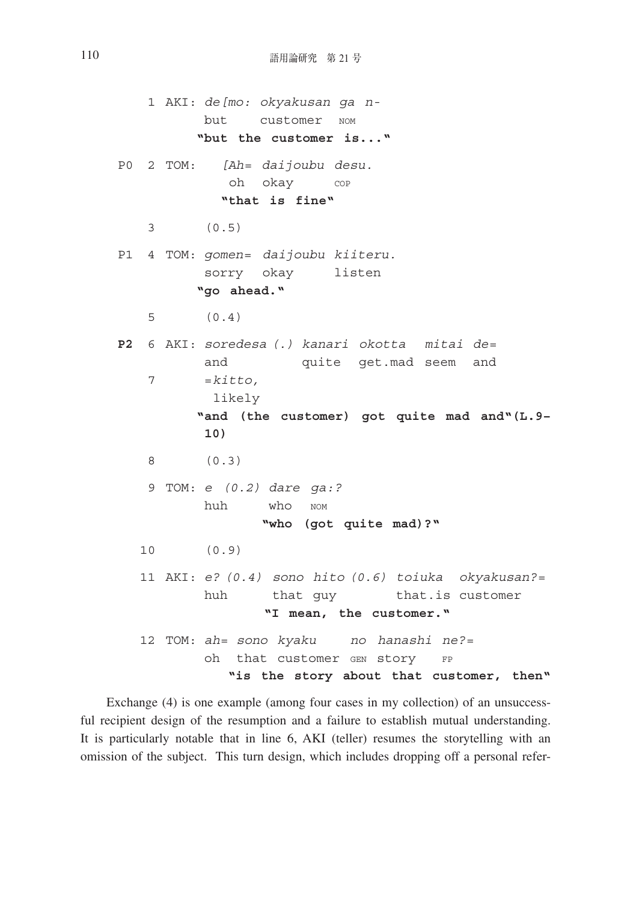1 AKI: *de[mo: okyakusan ga n* but customer nom **"but the customer is..."** P0 2 TOM: *[Ah= daijoubu desu.* oh okay cop **"that is fine"** 3 (0.5) P1 4 TOM: *gomen= daijoubu kiiteru.* sorry okay listen **"go ahead."** 5 (0.4) **P2** 6 AKI: *soredesa (.) kanari okotta mitai de=* and quite get.mad seem and  $7 = k \text{if} \text{to}$ , likely **" and (the customer) got quite mad and"(L.9– 10)** 8 (0.3) 9 TOM: *e (0.2) dare ga:?* huh who nom **"who (got quite mad)?"** 10 (0.9) 11 AKI: *e? (0.4) sono hito (0.6) toiuka okyakusan?=* huh that guy that.is customer **"I mean, the customer."** 12 TOM: *ah= sono kyaku no hanashi ne?=* oh that customer GEN Story FP **"is the story about that customer, then"**

Exchange (4) is one example (among four cases in my collection) of an unsuccessful recipient design of the resumption and a failure to establish mutual understanding. It is particularly notable that in line 6, AKI (teller) resumes the storytelling with an omission of the subject. This turn design, which includes dropping off a personal refer-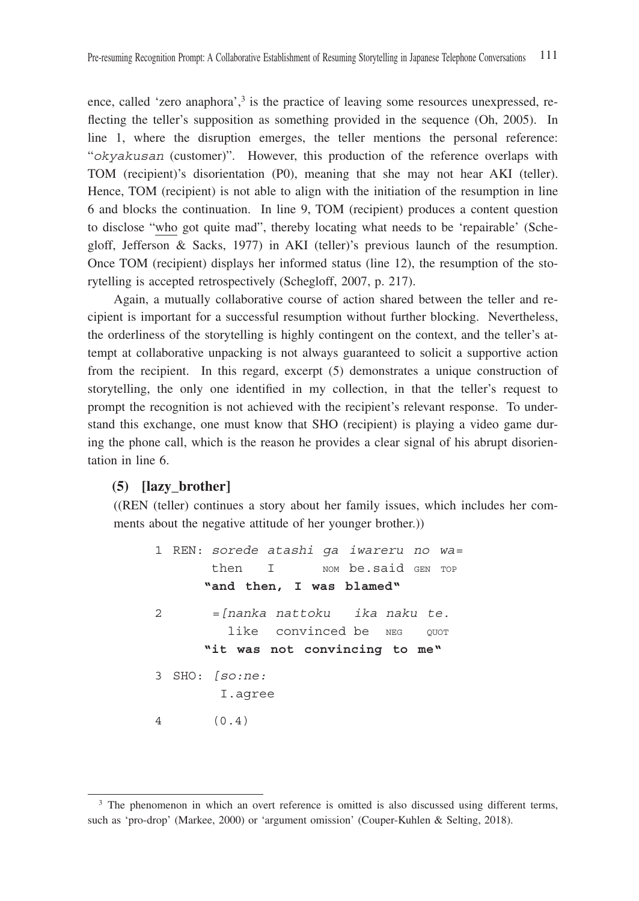ence, called 'zero anaphora',<sup>3</sup> is the practice of leaving some resources unexpressed, reflecting the teller's supposition as something provided in the sequence (Oh, 2005). In line 1, where the disruption emerges, the teller mentions the personal reference: "*okyakusan* (customer)". However, this production of the reference overlaps with TOM (recipient)'s disorientation (P0), meaning that she may not hear AKI (teller). Hence, TOM (recipient) is not able to align with the initiation of the resumption in line 6 and blocks the continuation. In line 9, TOM (recipient) produces a content question to disclose "who got quite mad", thereby locating what needs to be 'repairable' (Schegloff, Jefferson & Sacks, 1977) in AKI (teller)'s previous launch of the resumption. Once TOM (recipient) displays her informed status (line 12), the resumption of the storytelling is accepted retrospectively (Schegloff, 2007, p. 217).

Again, a mutually collaborative course of action shared between the teller and recipient is important for a successful resumption without further blocking. Nevertheless, the orderliness of the storytelling is highly contingent on the context, and the teller's attempt at collaborative unpacking is not always guaranteed to solicit a supportive action from the recipient. In this regard, excerpt (5) demonstrates a unique construction of storytelling, the only one identified in my collection, in that the teller's request to prompt the recognition is not achieved with the recipient's relevant response. To understand this exchange, one must know that SHO (recipient) is playing a video game during the phone call, which is the reason he provides a clear signal of his abrupt disorientation in line 6.

## **(5) [lazy\_brother]**

((REN (teller) continues a story about her family issues, which includes her comments about the negative attitude of her younger brother.))

 1 REN: *sorede atashi ga iwareru no wa=* then I wow be said GEN TOP **"and then, I was blamed"** 2 *=[nanka nattoku ika naku te.* like convinced be NEG QUOT **"it was not convincing to me"** 3 SHO: *[so:ne:* I.agree 4 (0.4)

<sup>&</sup>lt;sup>3</sup> The phenomenon in which an overt reference is omitted is also discussed using different terms, such as 'pro-drop' (Markee, 2000) or 'argument omission' (Couper-Kuhlen & Selting, 2018).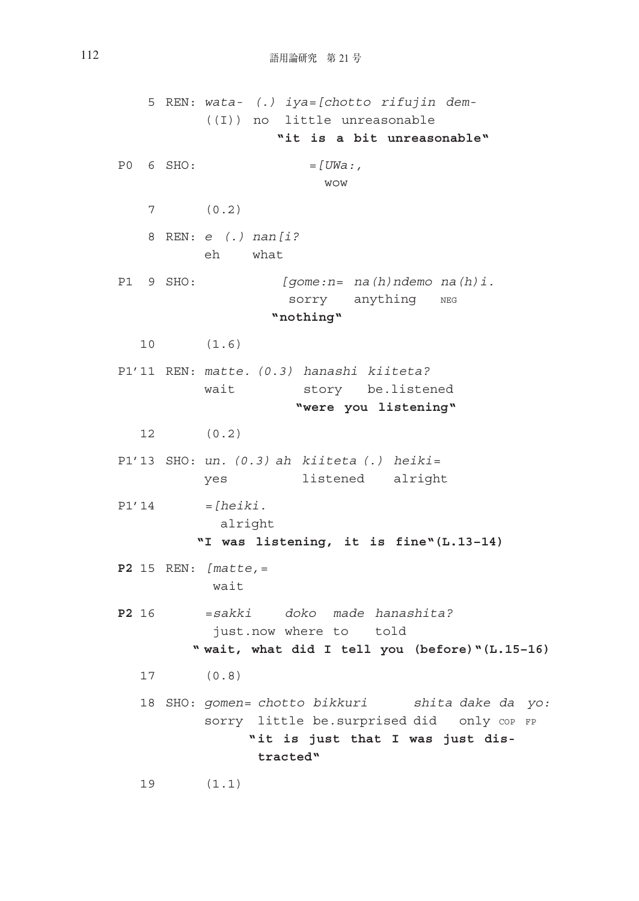5 REN: *wata- (.) iya=[chotto rifujin dem-* ((I)) no little unreasonable **"it is a bit unreasonable"** P0 6 SHO: *=[UWa:,* wow wow 7 (0.2) 8 REN: *e (.) nan[i?* eh what P1 9 SHO: *[gome:n= na(h)ndemo na(h)i.* sorry anything NEG **"nothing"** 10 (1.6) P1'11 REN: *matte. (0.3) hanashi kiiteta?* wait story be.listened **"were you listening"** 12 (0.2) P1'13 SHO: *un. (0.3) ah kiiteta (.) heiki=* yes listened alright P1'14 *=[heiki.* alright **"I was listening, it is fine"(L.13–14) P2** 15 REN: *[matte,=* wait **P2** 16 *=sakki doko made hanashita?* just.now where to told **" wait, what did I tell you (before)"(L.15–16)** 17 (0.8) 18 SHO: *gomen= chotto bikkuri shita dake da yo:* sorry little be.surprised did only cop FP **" it is just that I was just distracted"**

19 (1.1)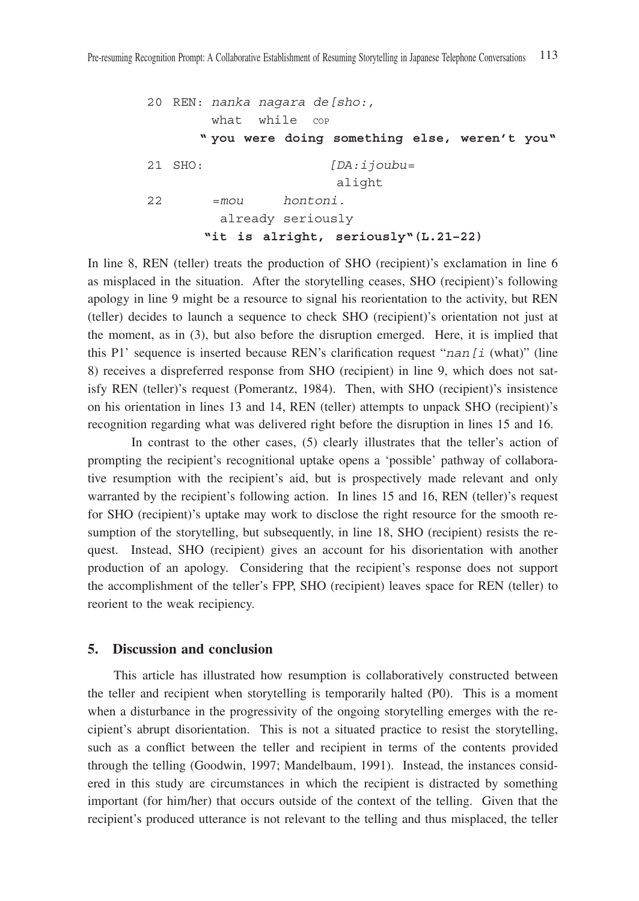```
 20 REN: nanka nagara de[sho:,
       what while cop
      " you were doing something else, weren't you"
21 SHO: [DA:ijoubu=
                      alight
22 =mou hontoni.
        already seriously
      "it is alright, seriously"(L.21–22)
```
In line 8, REN (teller) treats the production of SHO (recipient)'s exclamation in line 6 as misplaced in the situation. After the storytelling ceases, SHO (recipient)'s following apology in line 9 might be a resource to signal his reorientation to the activity, but REN (teller) decides to launch a sequence to check SHO (recipient)'s orientation not just at the moment, as in (3), but also before the disruption emerged. Here, it is implied that this P1' sequence is inserted because REN's clarification request "*nan[i* (what)" (line 8) receives a dispreferred response from SHO (recipient) in line 9, which does not satisfy REN (teller)'s request (Pomerantz, 1984). Then, with SHO (recipient)'s insistence on his orientation in lines 13 and 14, REN (teller) attempts to unpack SHO (recipient)'s recognition regarding what was delivered right before the disruption in lines 15 and 16.

 In contrast to the other cases, (5) clearly illustrates that the teller's action of prompting the recipient's recognitional uptake opens a 'possible' pathway of collaborative resumption with the recipient's aid, but is prospectively made relevant and only warranted by the recipient's following action. In lines 15 and 16, REN (teller)'s request for SHO (recipient)'s uptake may work to disclose the right resource for the smooth resumption of the storytelling, but subsequently, in line 18, SHO (recipient) resists the request. Instead, SHO (recipient) gives an account for his disorientation with another production of an apology. Considering that the recipient's response does not support the accomplishment of the teller's FPP, SHO (recipient) leaves space for REN (teller) to reorient to the weak recipiency.

#### **5. Discussion and conclusion**

This article has illustrated how resumption is collaboratively constructed between the teller and recipient when storytelling is temporarily halted (P0). This is a moment when a disturbance in the progressivity of the ongoing storytelling emerges with the recipient's abrupt disorientation. This is not a situated practice to resist the storytelling, such as a conflict between the teller and recipient in terms of the contents provided through the telling (Goodwin, 1997; Mandelbaum, 1991). Instead, the instances considered in this study are circumstances in which the recipient is distracted by something important (for him/her) that occurs outside of the context of the telling. Given that the recipient's produced utterance is not relevant to the telling and thus misplaced, the teller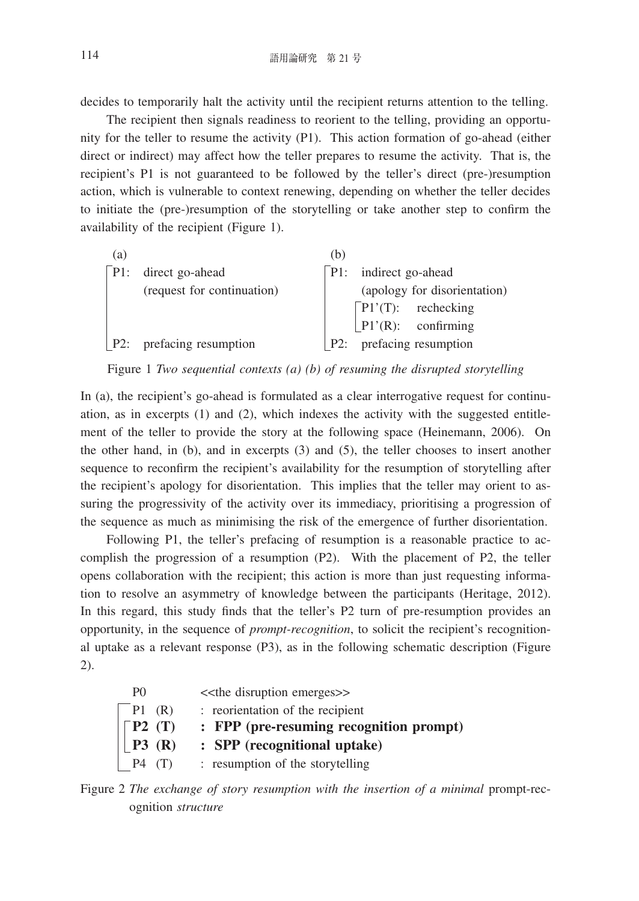decides to temporarily halt the activity until the recipient returns attention to the telling.

The recipient then signals readiness to reorient to the telling, providing an opportunity for the teller to resume the activity (P1). This action formation of go-ahead (either direct or indirect) may affect how the teller prepares to resume the activity. That is, the recipient's P1 is not guaranteed to be followed by the teller's direct (pre-)resumption action, which is vulnerable to context renewing, depending on whether the teller decides to initiate the (pre-)resumption of the storytelling or take another step to confirm the availability of the recipient (Figure 1).

| (a) |                                     | (b) |                                                                         |  |  |
|-----|-------------------------------------|-----|-------------------------------------------------------------------------|--|--|
|     | $\lceil P1$ : direct go-ahead       |     | $\lceil P1$ : indirect go-ahead                                         |  |  |
|     | (request for continuation)          |     | (apology for disorientation)                                            |  |  |
|     |                                     |     | $\begin{bmatrix} P1'(T): \\ P1'(R): \\ \text{confirming} \end{bmatrix}$ |  |  |
|     |                                     |     |                                                                         |  |  |
|     | $\lfloor P2$ : prefacing resumption |     | P2: prefacing resumption                                                |  |  |
|     |                                     |     |                                                                         |  |  |

## Figure 1 *Two sequential contexts (a) (b) of resuming the disrupted storytelling*

In (a), the recipient's go-ahead is formulated as a clear interrogative request for continuation, as in excerpts (1) and (2), which indexes the activity with the suggested entitlement of the teller to provide the story at the following space (Heinemann, 2006). On the other hand, in (b), and in excerpts (3) and (5), the teller chooses to insert another sequence to reconfirm the recipient's availability for the resumption of storytelling after the recipient's apology for disorientation. This implies that the teller may orient to assuring the progressivity of the activity over its immediacy, prioritising a progression of the sequence as much as minimising the risk of the emergence of further disorientation.

Following P1, the teller's prefacing of resumption is a reasonable practice to accomplish the progression of a resumption (P2). With the placement of P2, the teller opens collaboration with the recipient; this action is more than just requesting information to resolve an asymmetry of knowledge between the participants (Heritage, 2012). In this regard, this study finds that the teller's P2 turn of pre-resumption provides an opportunity, in the sequence of *prompt-recognition*, to solicit the recipient's recognitional uptake as a relevant response (P3), as in the following schematic description (Figure 2).

| P <sub>0</sub>              | < <the disruption="" emerges="">&gt;</the> |
|-----------------------------|--------------------------------------------|
| P1(R)                       | : reorientation of the recipient           |
| $\vert \lceil P2 \rceil(T)$ | : FPP (pre-resuming recognition prompt)    |
| P3(R)                       | : SPP (recognitional uptake)               |
| P4<br>(T)                   | : resumption of the storytelling           |

Figure 2 *The exchange of story resumption with the insertion of a minimal* prompt-recognition *structure*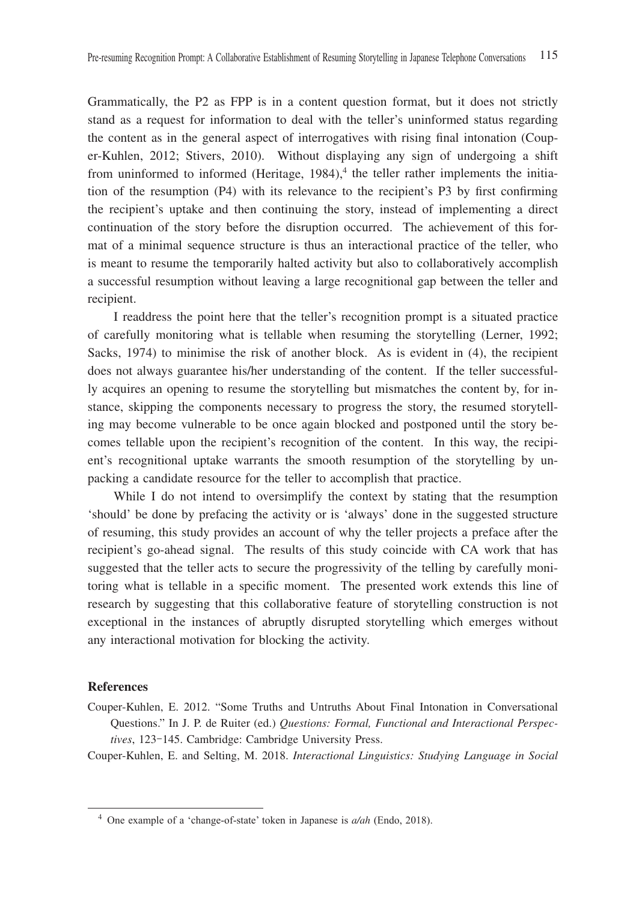Grammatically, the P2 as FPP is in a content question format, but it does not strictly stand as a request for information to deal with the teller's uninformed status regarding the content as in the general aspect of interrogatives with rising final intonation (Couper-Kuhlen, 2012; Stivers, 2010). Without displaying any sign of undergoing a shift from uninformed to informed (Heritage,  $1984$ ),<sup>4</sup> the teller rather implements the initiation of the resumption (P4) with its relevance to the recipient's P3 by first confirming the recipient's uptake and then continuing the story, instead of implementing a direct continuation of the story before the disruption occurred. The achievement of this format of a minimal sequence structure is thus an interactional practice of the teller, who is meant to resume the temporarily halted activity but also to collaboratively accomplish a successful resumption without leaving a large recognitional gap between the teller and recipient.

I readdress the point here that the teller's recognition prompt is a situated practice of carefully monitoring what is tellable when resuming the storytelling (Lerner, 1992; Sacks, 1974) to minimise the risk of another block. As is evident in (4), the recipient does not always guarantee his/her understanding of the content. If the teller successfully acquires an opening to resume the storytelling but mismatches the content by, for instance, skipping the components necessary to progress the story, the resumed storytelling may become vulnerable to be once again blocked and postponed until the story becomes tellable upon the recipient's recognition of the content. In this way, the recipient's recognitional uptake warrants the smooth resumption of the storytelling by unpacking a candidate resource for the teller to accomplish that practice.

While I do not intend to oversimplify the context by stating that the resumption 'should' be done by prefacing the activity or is 'always' done in the suggested structure of resuming, this study provides an account of why the teller projects a preface after the recipient's go-ahead signal. The results of this study coincide with CA work that has suggested that the teller acts to secure the progressivity of the telling by carefully monitoring what is tellable in a specific moment. The presented work extends this line of research by suggesting that this collaborative feature of storytelling construction is not exceptional in the instances of abruptly disrupted storytelling which emerges without any interactional motivation for blocking the activity.

#### **References**

Couper-Kuhlen, E. 2012. "Some Truths and Untruths About Final Intonation in Conversational Questions." In J. P. de Ruiter (ed.) *Questions: Formal, Functional and Interactional Perspectives*, 123-145. Cambridge: Cambridge University Press.

Couper-Kuhlen, E. and Selting, M. 2018. *Interactional Linguistics: Studying Language in Social* 

<sup>4</sup> One example of a 'change-of-state' token in Japanese is *a/ah* (Endo, 2018).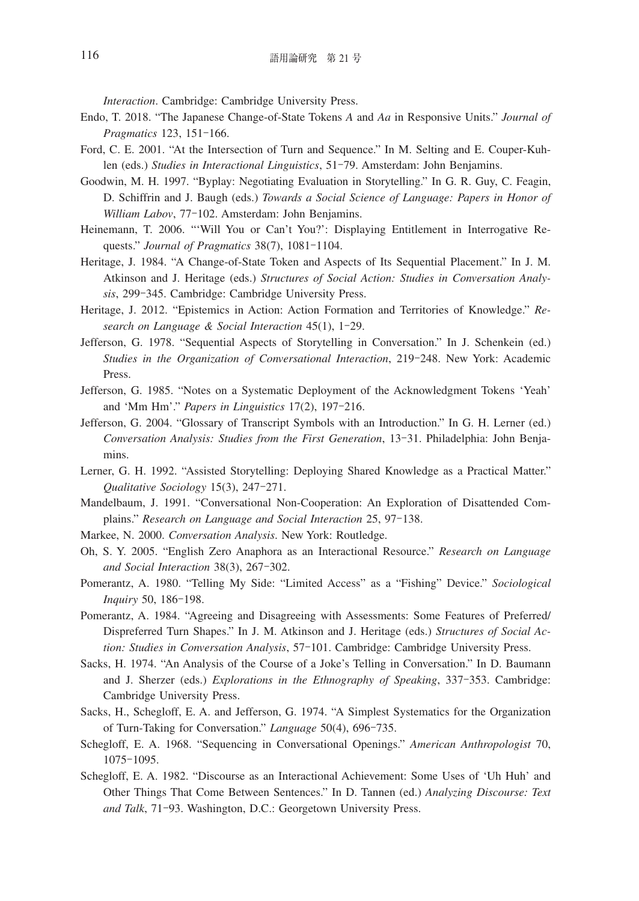*Interaction*. Cambridge: Cambridge University Press.

- Endo, T. 2018. "The Japanese Change-of-State Tokens *A* and *Aa* in Responsive Units." *Journal of Pragmatics* 123, 151-166.
- Ford, C. E. 2001. "At the Intersection of Turn and Sequence." In M. Selting and E. Couper-Kuhlen (eds.) *Studies in Interactional Linguistics*, 51-79. Amsterdam: John Benjamins.
- Goodwin, M. H. 1997. "Byplay: Negotiating Evaluation in Storytelling." In G. R. Guy, C. Feagin, D. Schiffrin and J. Baugh (eds.) *Towards a Social Science of Language: Papers in Honor of William Labov*, 77-102. Amsterdam: John Benjamins.
- Heinemann, T. 2006. "'Will You or Can't You?': Displaying Entitlement in Interrogative Requests." *Journal of Pragmatics* 38(7), 1081-1104.
- Heritage, J. 1984. "A Change-of-State Token and Aspects of Its Sequential Placement." In J. M. Atkinson and J. Heritage (eds.) *Structures of Social Action: Studies in Conversation Analysis*, 299-345. Cambridge: Cambridge University Press.
- Heritage, J. 2012. "Epistemics in Action: Action Formation and Territories of Knowledge." *Research on Language & Social Interaction* 45(1), 1-29.
- Jefferson, G. 1978. "Sequential Aspects of Storytelling in Conversation." In J. Schenkein (ed.) *Studies in the Organization of Conversational Interaction*, 219-248. New York: Academic Press.
- Jefferson, G. 1985. "Notes on a Systematic Deployment of the Acknowledgment Tokens 'Yeah' and 'Mm Hm'." *Papers in Linguistics* 17(2), 197-216.
- Jefferson, G. 2004. "Glossary of Transcript Symbols with an Introduction." In G. H. Lerner (ed.) *Conversation Analysis: Studies from the First Generation*, 13-31. Philadelphia: John Benjamins.
- Lerner, G. H. 1992. "Assisted Storytelling: Deploying Shared Knowledge as a Practical Matter." *Qualitative Sociology* 15(3), 247-271.
- Mandelbaum, J. 1991. "Conversational Non-Cooperation: An Exploration of Disattended Complains." *Research on Language and Social Interaction* 25, 97-138.
- Markee, N. 2000. *Conversation Analysis*. New York: Routledge.
- Oh, S. Y. 2005. "English Zero Anaphora as an Interactional Resource." *Research on Language and Social Interaction* 38(3), 267-302.
- Pomerantz, A. 1980. "Telling My Side: "Limited Access" as a "Fishing" Device." *Sociological Inquiry* 50, 186-198.
- Pomerantz, A. 1984. "Agreeing and Disagreeing with Assessments: Some Features of Preferred/ Dispreferred Turn Shapes." In J. M. Atkinson and J. Heritage (eds.) *Structures of Social Action: Studies in Conversation Analysis*, 57-101. Cambridge: Cambridge University Press.
- Sacks, H. 1974. "An Analysis of the Course of a Joke's Telling in Conversation." In D. Baumann and J. Sherzer (eds.) *Explorations in the Ethnography of Speaking*, 337-353. Cambridge: Cambridge University Press.
- Sacks, H., Schegloff, E. A. and Jefferson, G. 1974. "A Simplest Systematics for the Organization of Turn-Taking for Conversation." *Language* 50(4), 696-735.
- Schegloff, E. A. 1968. "Sequencing in Conversational Openings." *American Anthropologist* 70, 1075-1095.
- Schegloff, E. A. 1982. "Discourse as an Interactional Achievement: Some Uses of 'Uh Huh' and Other Things That Come Between Sentences." In D. Tannen (ed.) *Analyzing Discourse: Text and Talk*, 71-93. Washington, D.C.: Georgetown University Press.